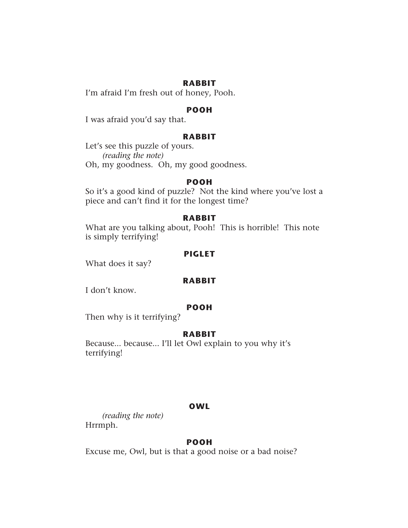## **RABBIT**

I'm afraid I'm fresh out of honey, Pooh.

## **POOH**

I was afraid you'd say that.

# **RABBIT**

Let's see this puzzle of yours.  *(reading the note)*  Oh, my goodness. Oh, my good goodness.

### **POOH**

So it's a good kind of puzzle? Not the kind where you've lost a piece and can't find it for the longest time?

### **RABBIT**

What are you talking about, Pooh! This is horrible! This note is simply terrifying!

## **PIGLET**

What does it say?

# **RABBIT**

I don't know.

## **POOH**

Then why is it terrifying?

## **RABBIT**

Because... because... I'll let Owl explain to you why it's terrifying!

### **OWL**

*(reading the note)* Hrrmph.

## **POOH**

Excuse me, Owl, but is that a good noise or a bad noise?